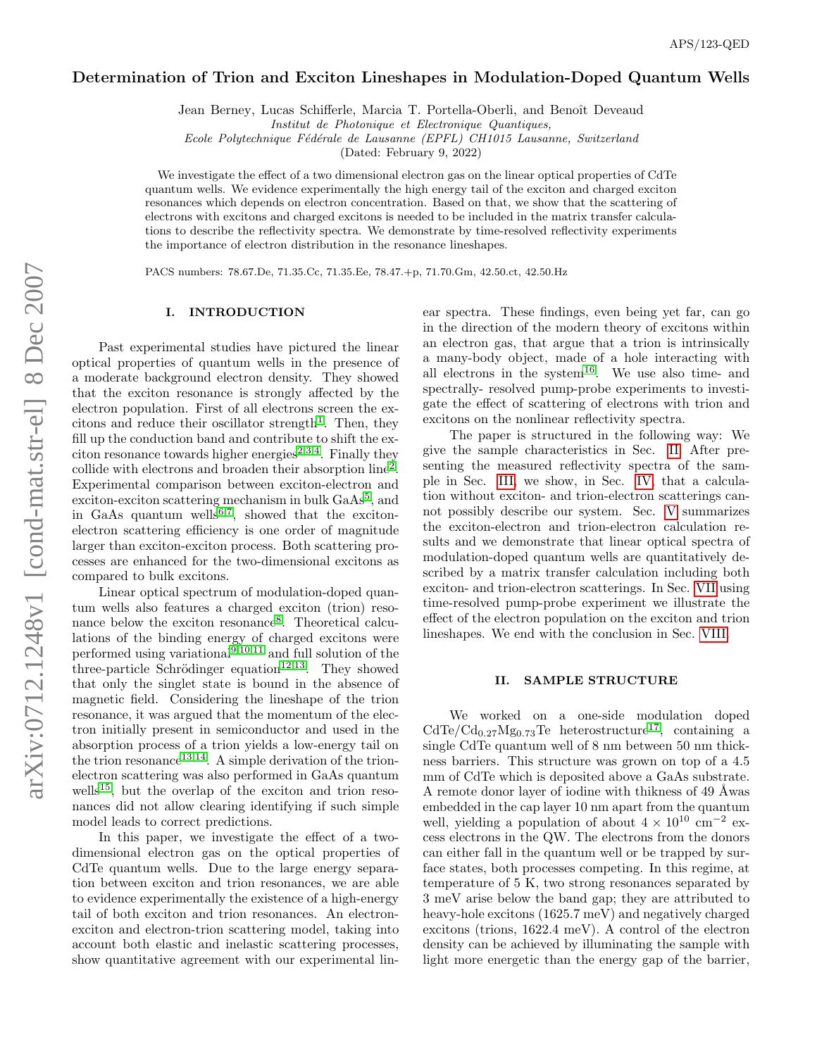# Determination of Trion and Exciton Lineshapes in Modulation-Doped Quantum Wells

Jean Berney, Lucas Schifferle, Marcia T. Portella-Oberli, and Benoît Deveaud

Institut de Photonique et Electronique Quantiques,

Ecole Polytechnique Fédérale de Lausanne (EPFL) CH1015 Lausanne, Switzerland

(Dated: February 9, 2022)

We investigate the effect of a two dimensional electron gas on the linear optical properties of CdTe quantum wells. We evidence experimentally the high energy tail of the exciton and charged exciton resonances which depends on electron concentration. Based on that, we show that the scattering of electrons with excitons and charged excitons is needed to be included in the matrix transfer calculations to describe the reflectivity spectra. We demonstrate by time-resolved reflectivity experiments the importance of electron distribution in the resonance lineshapes.

PACS numbers: 78.67.De, 71.35.Cc, 71.35.Ee, 78.47.+p, 71.70.Gm, 42.50.ct, 42.50.Hz

#### I. INTRODUCTION

Past experimental studies have pictured the linear optical properties of quantum wells in the presence of a moderate background electron density. They showed that the exciton resonance is strongly affected by the electron population. First of all electrons screen the ex-citons and reduce their oscillator strength<sup>[1](#page-8-0)</sup>. Then, they fill up the conduction band and contribute to shift the ex-citon resonance towards higher energies<sup>[2](#page-8-1)[,3,](#page-8-2)[4](#page-8-3)</sup>. Finally they collide with electrons and broaden their absorption line[2](#page-8-1) . Experimental comparison between exciton-electron and exciton-exciton scattering mechanism in bulk GaAs<sup>[5](#page-8-4)</sup>, and in GaAs quantum wells<sup>[6,](#page-8-5)[7](#page-8-6)</sup>, showed that the excitonelectron scattering efficiency is one order of magnitude larger than exciton-exciton process. Both scattering processes are enhanced for the two-dimensional excitons as compared to bulk excitons.

Linear optical spectrum of modulation-doped quantum wells also features a charged exciton (trion) reso-nance below the exciton resonance<sup>[8](#page-8-7)</sup>. Theoretical calculations of the binding energy of charged excitons were performed using variational<sup>[9](#page-8-8)[,10,](#page-8-9)[11](#page-8-10)</sup> and full solution of the three-particle Schrödinger equation<sup>[12,](#page-8-11)[13](#page-8-12)</sup>. They showed that only the singlet state is bound in the absence of magnetic field. Considering the lineshape of the trion resonance, it was argued that the momentum of the electron initially present in semiconductor and used in the absorption process of a trion yields a low-energy tail on the trion resonance<sup>[13](#page-8-12)[,14](#page-8-13)</sup>. A simple derivation of the trionelectron scattering was also performed in GaAs quantum  $wells<sup>15</sup>$  $wells<sup>15</sup>$  $wells<sup>15</sup>$ , but the overlap of the exciton and trion resonances did not allow clearing identifying if such simple model leads to correct predictions.

In this paper, we investigate the effect of a twodimensional electron gas on the optical properties of CdTe quantum wells. Due to the large energy separation between exciton and trion resonances, we are able to evidence experimentally the existence of a high-energy tail of both exciton and trion resonances. An electronexciton and electron-trion scattering model, taking into account both elastic and inelastic scattering processes, show quantitative agreement with our experimental linear spectra. These findings, even being yet far, can go in the direction of the modern theory of excitons within an electron gas, that argue that a trion is intrinsically a many-body object, made of a hole interacting with all electrons in the system[16](#page-8-15). We use also time- and spectrally- resolved pump-probe experiments to investigate the effect of scattering of electrons with trion and excitons on the nonlinear reflectivity spectra.

The paper is structured in the following way: We give the sample characteristics in Sec. [II.](#page-0-0) After presenting the measured reflectivity spectra of the sample in Sec. [III,](#page-1-0) we show, in Sec. [IV,](#page-1-1) that a calculation without exciton- and trion-electron scatterings cannot possibly describe our system. Sec. [V](#page-3-0) summarizes the exciton-electron and trion-electron calculation results and we demonstrate that linear optical spectra of modulation-doped quantum wells are quantitatively described by a matrix transfer calculation including both exciton- and trion-electron scatterings. In Sec. [VII](#page-4-0) using time-resolved pump-probe experiment we illustrate the effect of the electron population on the exciton and trion lineshapes. We end with the conclusion in Sec. [VIII.](#page-5-0)

### <span id="page-0-0"></span>II. SAMPLE STRUCTURE

We worked on a one-side modulation doped  $CdTe/Cd_{0.27}Mg_{0.73}Te$  heterostructure<sup>[17](#page-8-16)</sup>, containing a single CdTe quantum well of 8 nm between 50 nm thickness barriers. This structure was grown on top of a 4.5 mm of CdTe which is deposited above a GaAs substrate. A remote donor layer of iodine with thikness of 49 Åwas embedded in the cap layer 10 nm apart from the quantum well, yielding a population of about  $4 \times 10^{10}$  cm<sup>-2</sup> excess electrons in the QW. The electrons from the donors can either fall in the quantum well or be trapped by surface states, both processes competing. In this regime, at temperature of 5 K, two strong resonances separated by 3 meV arise below the band gap; they are attributed to heavy-hole excitons (1625.7 meV) and negatively charged excitons (trions, 1622.4 meV). A control of the electron density can be achieved by illuminating the sample with light more energetic than the energy gap of the barrier,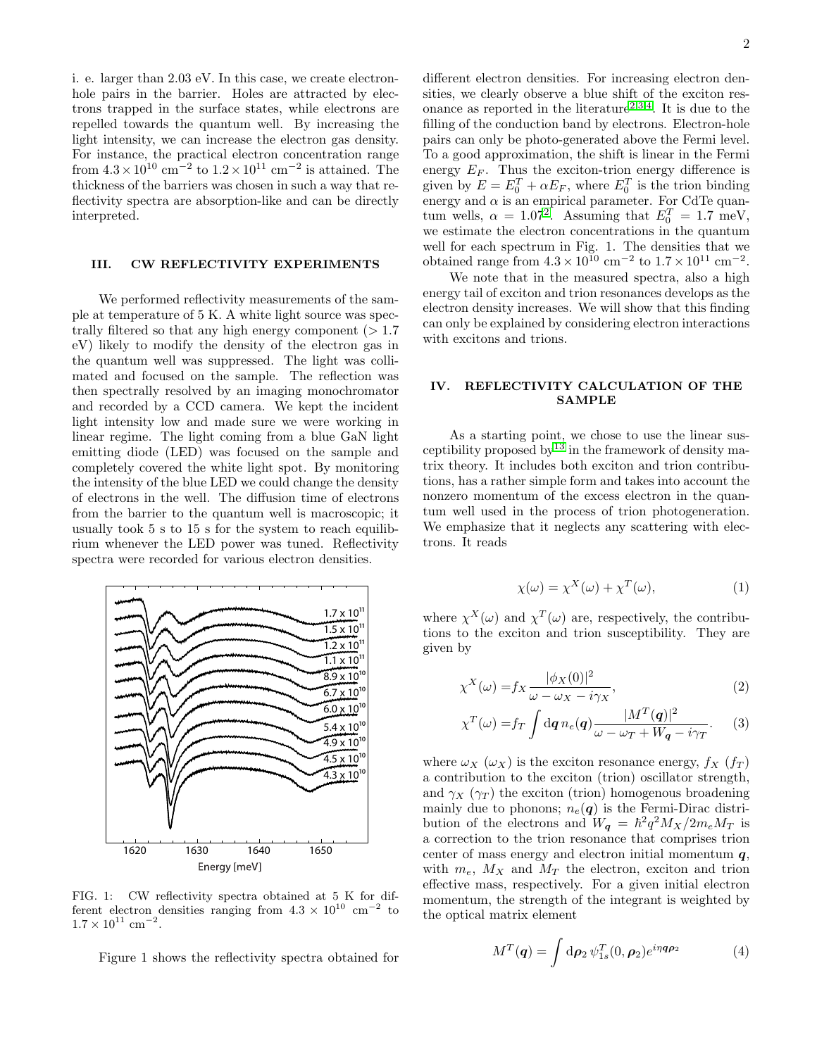i. e. larger than 2.03 eV. In this case, we create electronhole pairs in the barrier. Holes are attracted by electrons trapped in the surface states, while electrons are repelled towards the quantum well. By increasing the light intensity, we can increase the electron gas density. For instance, the practical electron concentration range from  $4.3 \times 10^{10}$  cm<sup>-2</sup> to  $1.2 \times 10^{11}$  cm<sup>-2</sup> is attained. The thickness of the barriers was chosen in such a way that reflectivity spectra are absorption-like and can be directly interpreted.

### <span id="page-1-0"></span>III. CW REFLECTIVITY EXPERIMENTS

We performed reflectivity measurements of the sample at temperature of 5 K. A white light source was spectrally filtered so that any high energy component  $(1.7$ eV) likely to modify the density of the electron gas in the quantum well was suppressed. The light was collimated and focused on the sample. The reflection was then spectrally resolved by an imaging monochromator and recorded by a CCD camera. We kept the incident light intensity low and made sure we were working in linear regime. The light coming from a blue GaN light emitting diode (LED) was focused on the sample and completely covered the white light spot. By monitoring the intensity of the blue LED we could change the density of electrons in the well. The diffusion time of electrons from the barrier to the quantum well is macroscopic; it usually took 5 s to 15 s for the system to reach equilibrium whenever the LED power was tuned. Reflectivity spectra were recorded for various electron densities.



FIG. 1: CW reflectivity spectra obtained at 5 K for different electron densities ranging from  $4.3 \times 10^{10}$  cm<sup>-2</sup> to  $1.7 \times 10^{11}$  cm<sup>-2</sup>.

Figure 1 shows the reflectivity spectra obtained for

different electron densities. For increasing electron densities, we clearly observe a blue shift of the exciton res-onance as reported in the literature<sup>[2](#page-8-1)[,3,](#page-8-2)[4](#page-8-3)</sup>. It is due to the filling of the conduction band by electrons. Electron-hole pairs can only be photo-generated above the Fermi level. To a good approximation, the shift is linear in the Fermi energy  $E_F$ . Thus the exciton-trion energy difference is given by  $E = E_0^T + \alpha E_F$ , where  $E_0^T$  is the trion binding energy and  $\alpha$  is an empirical parameter. For CdTe quantum wells,  $\alpha = 1.07^2$  $\alpha = 1.07^2$ . Assuming that  $E_0^T = 1.7$  meV, we estimate the electron concentrations in the quantum well for each spectrum in Fig. 1. The densities that we obtained range from  $4.3 \times 10^{10}$  cm<sup>-2</sup> to  $1.7 \times 10^{11}$  cm<sup>-2</sup>.

We note that in the measured spectra, also a high energy tail of exciton and trion resonances develops as the electron density increases. We will show that this finding can only be explained by considering electron interactions with excitons and trions.

## <span id="page-1-1"></span>IV. REFLECTIVITY CALCULATION OF THE SAMPLE

As a starting point, we chose to use the linear susceptibility proposed by  $13$  in the framework of density matrix theory. It includes both exciton and trion contributions, has a rather simple form and takes into account the nonzero momentum of the excess electron in the quantum well used in the process of trion photogeneration. We emphasize that it neglects any scattering with electrons. It reads

<span id="page-1-3"></span><span id="page-1-2"></span>
$$
\chi(\omega) = \chi^X(\omega) + \chi^T(\omega),\tag{1}
$$

where  $\chi^X(\omega)$  and  $\chi^T(\omega)$  are, respectively, the contributions to the exciton and trion susceptibility. They are given by

$$
\chi^X(\omega) = f_X \frac{|\phi_X(0)|^2}{\omega - \omega_X - i\gamma_X},\tag{2}
$$

$$
\chi^T(\omega) = f_T \int \mathrm{d}\mathbf{q} \, n_e(\mathbf{q}) \frac{|M^T(\mathbf{q})|^2}{\omega - \omega_T + W_{\mathbf{q}} - i\gamma_T}.\tag{3}
$$

where  $\omega_X(\omega_X)$  is the exciton resonance energy,  $f_X(f_T)$ a contribution to the exciton (trion) oscillator strength, and  $\gamma_X(\gamma_T)$  the exciton (trion) homogenous broadening mainly due to phonons;  $n_e(q)$  is the Fermi-Dirac distribution of the electrons and  $W_{\mathbf{q}} = \hbar^2 q^2 M_X/2 m_e M_T$  is a correction to the trion resonance that comprises trion center of mass energy and electron initial momentum  $q$ , with  $m_e$ ,  $M_X$  and  $M_T$  the electron, exciton and trion effective mass, respectively. For a given initial electron momentum, the strength of the integrant is weighted by the optical matrix element

$$
M^T(\boldsymbol{q}) = \int \mathrm{d}\boldsymbol{\rho}_2 \, \psi_{1s}^T(0, \boldsymbol{\rho}_2) e^{i\eta \boldsymbol{q} \boldsymbol{\rho}_2} \tag{4}
$$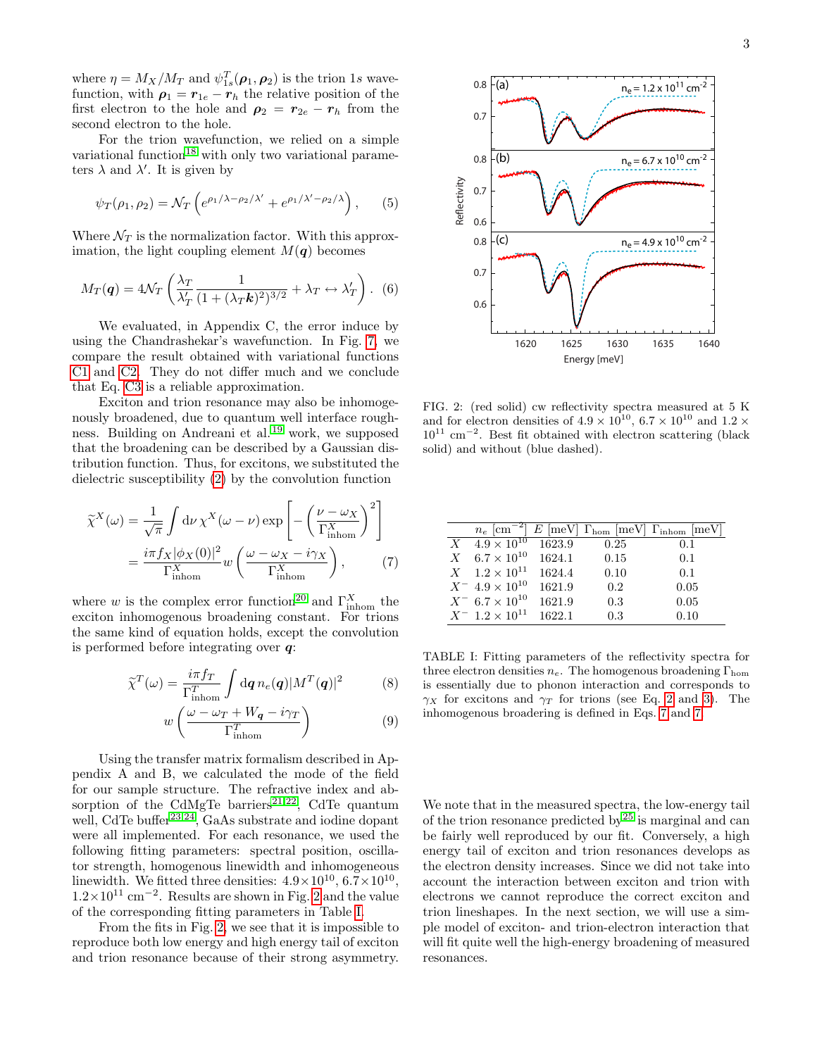where  $\eta = M_X/M_T$  and  $\psi_{1s}^T(\rho_1, \rho_2)$  is the trion 1s wavefunction, with  $\rho_1 = r_{1e} - r_h$  the relative position of the first electron to the hole and  $\rho_2 = r_{2e} - r_h$  from the second electron to the hole.

For the trion wavefunction, we relied on a simple variational function<sup>[18](#page-8-17)</sup> with only two variational parameters  $\lambda$  and  $\lambda'$ . It is given by

$$
\psi_T(\rho_1, \rho_2) = \mathcal{N}_T \left( e^{\rho_1/\lambda - \rho_2/\lambda'} + e^{\rho_1/\lambda' - \rho_2/\lambda} \right), \qquad (5)
$$

Where  $\mathcal{N}_T$  is the normalization factor. With this approximation, the light coupling element  $M(q)$  becomes

$$
M_T(\mathbf{q}) = 4\mathcal{N}_T \left( \frac{\lambda_T}{\lambda'_T} \frac{1}{(1 + (\lambda_T \mathbf{k})^2)^{3/2}} + \lambda_T \leftrightarrow \lambda'_T \right). \tag{6}
$$

We evaluated, in Appendix C, the error induce by using the Chandrashekar's wavefunction. In Fig. [7,](#page-8-18) we compare the result obtained with variational functions [C1](#page-7-0) and [C2.](#page-8-19) They do not differ much and we conclude that Eq. [C3](#page-8-20) is a reliable approximation.

Exciton and trion resonance may also be inhomogenously broadened, due to quantum well interface roughness. Building on Andreani et al. [19](#page-8-21) work, we supposed that the broadening can be described by a Gaussian distribution function. Thus, for excitons, we substituted the dielectric susceptibility [\(2\)](#page-1-2) by the convolution function

$$
\widetilde{\chi}^{X}(\omega) = \frac{1}{\sqrt{\pi}} \int d\nu \,\chi^{X}(\omega - \nu) \exp\left[-\left(\frac{\nu - \omega_{X}}{\Gamma_{\text{inhom}}^{X}}\right)^{2}\right]
$$

$$
= \frac{i\pi f_{X} |\phi_{X}(0)|^{2}}{\Gamma_{\text{inhom}}^{X}} w\left(\frac{\omega - \omega_{X} - i\gamma_{X}}{\Gamma_{\text{inhom}}^{X}}\right), \qquad (7)
$$

where w is the complex error function<sup>[20](#page-8-22)</sup> and  $\Gamma_{\text{inhom}}^X$  the exciton inhomogenous broadening constant. For trions the same kind of equation holds, except the convolution is performed before integrating over  $q$ .

$$
\widetilde{\chi}^T(\omega) = \frac{i\pi f_T}{\Gamma_{\text{inhom}}^T} \int \mathrm{d}\boldsymbol{q} \, n_e(\boldsymbol{q}) |M^T(\boldsymbol{q})|^2 \tag{8}
$$

$$
w\left(\frac{\omega - \omega_T + W_q - i\gamma_T}{\Gamma_{\text{inhom}}^T}\right) \tag{9}
$$

Using the transfer matrix formalism described in Appendix A and B, we calculated the mode of the field for our sample structure. The refractive index and ab-sorption of the CdMgTe barriers<sup>[21](#page-8-23)[,22](#page-8-24)</sup>, CdTe quantum well, CdTe buffer<sup>[23,](#page-8-25)[24](#page-8-26)</sup>, GaAs substrate and iodine dopant were all implemented. For each resonance, we used the following fitting parameters: spectral position, oscillator strength, homogenous linewidth and inhomogeneous linewidth. We fitted three densities:  $4.9 \times 10^{10}$ ,  $6.7 \times 10^{10}$ ,  $1.2 \times 10^{11}$  cm<sup>-2</sup>. Results are shown in Fig. [2](#page-2-0) and the value of the corresponding fitting parameters in Table [I.](#page-2-1)

From the fits in Fig. [2,](#page-2-0) we see that it is impossible to reproduce both low energy and high energy tail of exciton and trion resonance because of their strong asymmetry.



<span id="page-2-0"></span>FIG. 2: (red solid) cw reflectivity spectra measured at 5 K and for electron densities of  $4.9 \times 10^{10}$ ,  $6.7 \times 10^{10}$  and  $1.2 \times$  $10^{11}$  cm<sup>-2</sup>. Best fit obtained with electron scattering (black solid) and without (blue dashed).

<span id="page-2-2"></span>

|                                     |        |      | $n_e$ [cm <sup>-2</sup> ] $E$ [meV] $\Gamma_{\text{hom}}$ [meV] $\Gamma_{\text{inhom}}$ [meV] |
|-------------------------------------|--------|------|-----------------------------------------------------------------------------------------------|
| $X = 4.9 \times 10^{10}$            | 1623.9 | 0.25 | 0.1                                                                                           |
| $X = 6.7 \times 10^{10}$            | 1624.1 | 0.15 | 0.1                                                                                           |
| $X = 1.2 \times 10^{11}$            | 1624.4 | 0.10 | 0.1                                                                                           |
| $X^-$ 4.9 $\times$ 10 <sup>10</sup> | 1621.9 | 0.2  | 0.05                                                                                          |
| $X^-$ 6.7 $\times$ 10 <sup>10</sup> | 1621.9 | 0.3  | 0.05                                                                                          |
| $X^-$ 1.2 $\times$ 10 <sup>11</sup> | 1622.1 | 0.3  | 0.10                                                                                          |

<span id="page-2-1"></span>TABLE I: Fitting parameters of the reflectivity spectra for three electron densities  $n_e$ . The homogenous broadening  $\Gamma_{\text{hom}}$ is essentially due to phonon interaction and corresponds to  $\gamma_X$  for excitons and  $\gamma_T$  for trions (see Eq. [2](#page-1-2) and [3\)](#page-1-3). The inhomogenous broadering is defined in Eqs. [7](#page-2-2) and [7.](#page-2-2)

We note that in the measured spectra, the low-energy tail of the trion resonance predicted by  $2^5$  is marginal and can be fairly well reproduced by our fit. Conversely, a high energy tail of exciton and trion resonances develops as the electron density increases. Since we did not take into account the interaction between exciton and trion with electrons we cannot reproduce the correct exciton and trion lineshapes. In the next section, we will use a simple model of exciton- and trion-electron interaction that will fit quite well the high-energy broadening of measured resonances.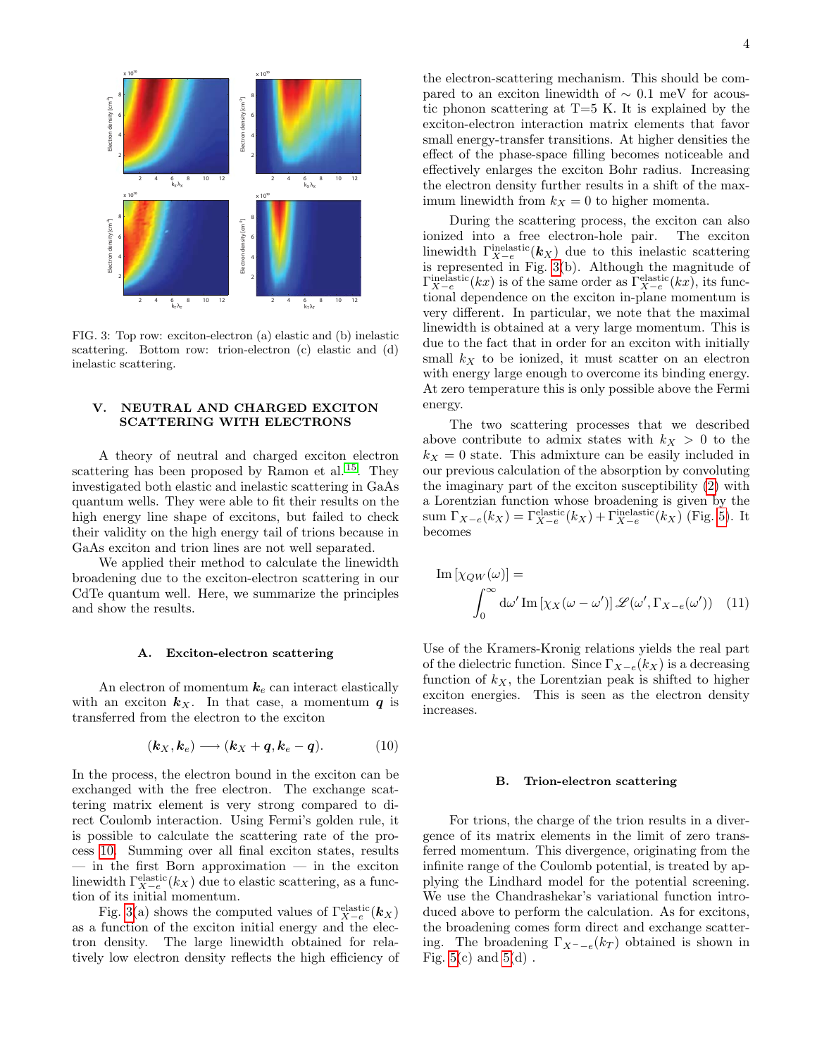

<span id="page-3-2"></span>FIG. 3: Top row: exciton-electron (a) elastic and (b) inelastic scattering. Bottom row: trion-electron (c) elastic and (d) inelastic scattering.

### <span id="page-3-0"></span>V. NEUTRAL AND CHARGED EXCITON SCATTERING WITH ELECTRONS

A theory of neutral and charged exciton electron scattering has been proposed by Ramon et al. [15](#page-8-14). They investigated both elastic and inelastic scattering in GaAs quantum wells. They were able to fit their results on the high energy line shape of excitons, but failed to check their validity on the high energy tail of trions because in GaAs exciton and trion lines are not well separated.

We applied their method to calculate the linewidth broadening due to the exciton-electron scattering in our CdTe quantum well. Here, we summarize the principles and show the results.

#### A. Exciton-electron scattering

An electron of momentum  $k_e$  can interact elastically with an exciton  $k_X$ . In that case, a momentum  $q$  is transferred from the electron to the exciton

<span id="page-3-1"></span>
$$
(\mathbf{k}_X, \mathbf{k}_e) \longrightarrow (\mathbf{k}_X + \mathbf{q}, \mathbf{k}_e - \mathbf{q}). \tag{10}
$$

In the process, the electron bound in the exciton can be exchanged with the free electron. The exchange scattering matrix element is very strong compared to direct Coulomb interaction. Using Fermi's golden rule, it is possible to calculate the scattering rate of the process [10.](#page-3-1) Summing over all final exciton states, results  $-$  in the first Born approximation  $-$  in the exciton linewidth  $\Gamma_{X-e}^{\text{elastic}}(k_X)$  due to elastic scattering, as a function of its initial momentum.

Fig. [3\(](#page-3-2)a) shows the computed values of  $\Gamma_{X-e}^{\text{elastic}}(\mathbf{k}_X)$ as a function of the exciton initial energy and the electron density. The large linewidth obtained for relatively low electron density reflects the high efficiency of

the electron-scattering mechanism. This should be compared to an exciton linewidth of  $\sim$  0.1 meV for acoustic phonon scattering at T=5 K. It is explained by the exciton-electron interaction matrix elements that favor small energy-transfer transitions. At higher densities the effect of the phase-space filling becomes noticeable and effectively enlarges the exciton Bohr radius. Increasing the electron density further results in a shift of the maximum linewidth from  $k_X = 0$  to higher momenta.

During the scattering process, the exciton can also ionized into a free electron-hole pair. The exciton linewidth  $\Gamma_{X-e}^{\text{inelastic}}(\mathbf{k}_X)$  due to this inelastic scattering is represented in Fig. [3\(](#page-3-2)b). Although the magnitude of  $\Gamma^{\text{inelastic}}_{X-e}(kx)$  is of the same order as  $\Gamma^{\text{elastic}}_{X-e}(kx)$ , its functional dependence on the exciton in-plane momentum is very different. In particular, we note that the maximal linewidth is obtained at a very large momentum. This is due to the fact that in order for an exciton with initially small  $k_X$  to be ionized, it must scatter on an electron with energy large enough to overcome its binding energy. At zero temperature this is only possible above the Fermi energy.

The two scattering processes that we described above contribute to admix states with  $k_X > 0$  to the  $k_X = 0$  state. This admixture can be easily included in our previous calculation of the absorption by convoluting the imaginary part of the exciton susceptibility [\(2\)](#page-1-2) with a Lorentzian function whose broadening is given by the sum  $\Gamma_{X-e}(k_X) = \Gamma_{X-e}^{\text{elastic}}(k_X) + \Gamma_{X-e}^{\text{inelastic}}(k_X)$  (Fig. [5\)](#page-5-1). It becomes

Im 
$$
[\chi_{QW}(\omega)]
$$
 =  
\n
$$
\int_0^\infty d\omega' \operatorname{Im} [\chi_X(\omega - \omega')] \mathscr{L}(\omega', \Gamma_{X-e}(\omega')) \quad (11)
$$

Use of the Kramers-Kronig relations yields the real part of the dielectric function. Since  $\Gamma_{X-e}(k_X)$  is a decreasing function of  $k_X$ , the Lorentzian peak is shifted to higher exciton energies. This is seen as the electron density increases.

#### B. Trion-electron scattering

For trions, the charge of the trion results in a divergence of its matrix elements in the limit of zero transferred momentum. This divergence, originating from the infinite range of the Coulomb potential, is treated by applying the Lindhard model for the potential screening. We use the Chandrashekar's variational function introduced above to perform the calculation. As for excitons, the broadening comes form direct and exchange scattering. The broadening  $\Gamma_{X^- - e}(k_T)$  obtained is shown in Fig.  $5(c)$  and  $5(d)$ .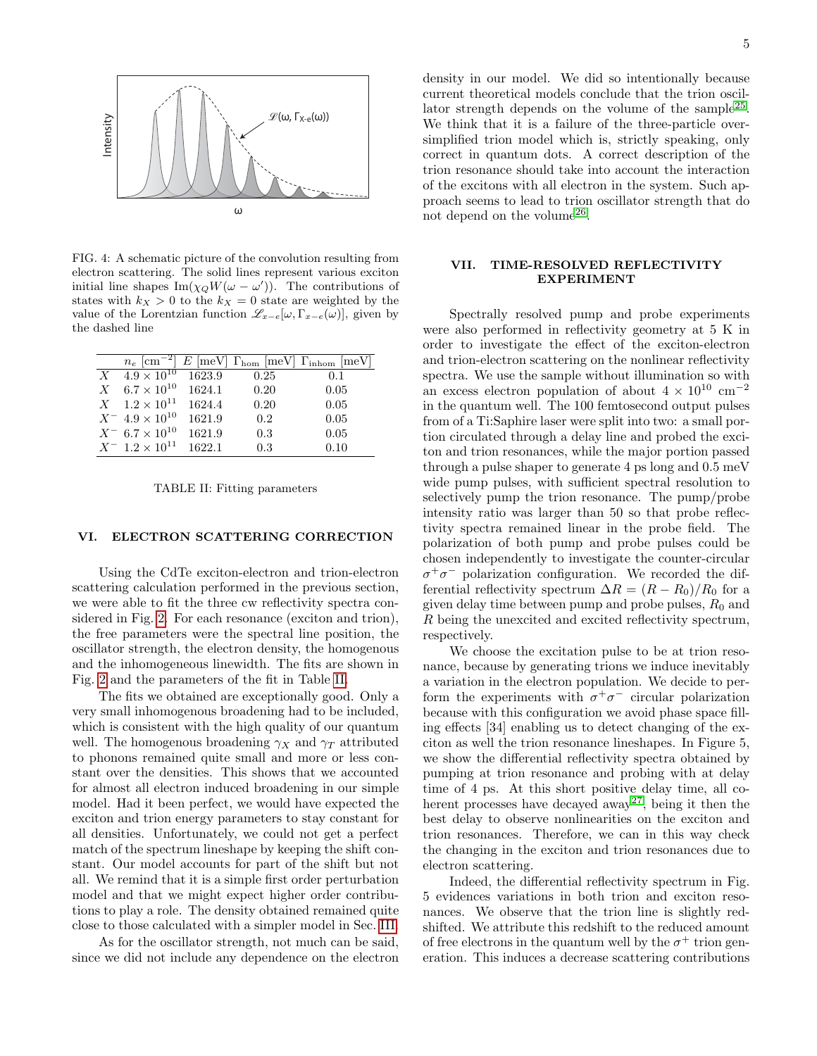

FIG. 4: A schematic picture of the convolution resulting from electron scattering. The solid lines represent various exciton initial line shapes  $\text{Im}(\chi_Q W(\omega - \omega'))$ . The contributions of states with  $k_X > 0$  to the  $k_X = 0$  state are weighted by the value of the Lorentzian function  $\mathscr{L}_{x-e}[\omega,\Gamma_{x-e}(\omega)]$ , given by the dashed line

|         |                                     |        |      | $n_e$ [cm <sup>-2</sup> ] $E$ [meV] $\Gamma_{\text{hom}}$ [meV] $\Gamma_{\text{inhom}}$ [meV] |
|---------|-------------------------------------|--------|------|-----------------------------------------------------------------------------------------------|
|         |                                     |        |      |                                                                                               |
| X       | $4.9 \times 10^{10}$                | 1623.9 | 0.25 | 0.1                                                                                           |
| $X_{-}$ | $6.7\times10^{10}$                  | 1624.1 | 0.20 | 0.05                                                                                          |
|         | $X = 1.2 \times 10^{11}$            | 1624.4 | 0.20 | 0.05                                                                                          |
|         | $X^-$ 4.9 $\times$ 10 <sup>10</sup> | 1621.9 | 0.2  | 0.05                                                                                          |
|         | $X^-$ 6.7 $\times$ 10 <sup>10</sup> | 1621.9 | 0.3  | 0.05                                                                                          |
|         | $X^-$ 1.2 $\times$ 10 <sup>11</sup> | 1622.1 | 0.3  | 0.10                                                                                          |

<span id="page-4-1"></span>

|  |  |  | TABLE II: Fitting parameters |
|--|--|--|------------------------------|
|--|--|--|------------------------------|

## VI. ELECTRON SCATTERING CORRECTION

Using the CdTe exciton-electron and trion-electron scattering calculation performed in the previous section, we were able to fit the three cw reflectivity spectra considered in Fig. [2.](#page-2-0) For each resonance (exciton and trion), the free parameters were the spectral line position, the oscillator strength, the electron density, the homogenous and the inhomogeneous linewidth. The fits are shown in Fig. [2](#page-2-0) and the parameters of the fit in Table [II.](#page-4-1)

The fits we obtained are exceptionally good. Only a very small inhomogenous broadening had to be included, which is consistent with the high quality of our quantum well. The homogenous broadening  $\gamma_X$  and  $\gamma_T$  attributed to phonons remained quite small and more or less constant over the densities. This shows that we accounted for almost all electron induced broadening in our simple model. Had it been perfect, we would have expected the exciton and trion energy parameters to stay constant for all densities. Unfortunately, we could not get a perfect match of the spectrum lineshape by keeping the shift constant. Our model accounts for part of the shift but not all. We remind that it is a simple first order perturbation model and that we might expect higher order contributions to play a role. The density obtained remained quite close to those calculated with a simpler model in Sec. [III.](#page-1-0)

As for the oscillator strength, not much can be said, since we did not include any dependence on the electron density in our model. We did so intentionally because current theoretical models conclude that the trion oscil-lator strength depends on the volume of the sample<sup>[25](#page-8-27)</sup>. We think that it is a failure of the three-particle oversimplified trion model which is, strictly speaking, only correct in quantum dots. A correct description of the trion resonance should take into account the interaction of the excitons with all electron in the system. Such approach seems to lead to trion oscillator strength that do not depend on the volume<sup>[26](#page-8-28)</sup>.

# <span id="page-4-0"></span>VII. TIME-RESOLVED REFLECTIVITY EXPERIMENT

Spectrally resolved pump and probe experiments were also performed in reflectivity geometry at 5 K in order to investigate the effect of the exciton-electron and trion-electron scattering on the nonlinear reflectivity spectra. We use the sample without illumination so with an excess electron population of about  $4 \times 10^{10}$  cm<sup>-2</sup> in the quantum well. The 100 femtosecond output pulses from of a Ti:Saphire laser were split into two: a small portion circulated through a delay line and probed the exciton and trion resonances, while the major portion passed through a pulse shaper to generate 4 ps long and 0.5 meV wide pump pulses, with sufficient spectral resolution to selectively pump the trion resonance. The pump/probe intensity ratio was larger than 50 so that probe reflectivity spectra remained linear in the probe field. The polarization of both pump and probe pulses could be chosen independently to investigate the counter-circular  $\sigma^+\sigma^-$  polarization configuration. We recorded the differential reflectivity spectrum  $\Delta R = (R - R_0)/R_0$  for a given delay time between pump and probe pulses,  $R_0$  and R being the unexcited and excited reflectivity spectrum, respectively.

We choose the excitation pulse to be at trion resonance, because by generating trions we induce inevitably a variation in the electron population. We decide to perform the experiments with  $\sigma^+\sigma^-$  circular polarization because with this configuration we avoid phase space filling effects [34] enabling us to detect changing of the exciton as well the trion resonance lineshapes. In Figure 5, we show the differential reflectivity spectra obtained by pumping at trion resonance and probing with at delay time of 4 ps. At this short positive delay time, all co-herent processes have decayed away<sup>[27](#page-8-29)</sup>, being it then the best delay to observe nonlinearities on the exciton and trion resonances. Therefore, we can in this way check the changing in the exciton and trion resonances due to electron scattering.

Indeed, the differential reflectivity spectrum in Fig. 5 evidences variations in both trion and exciton resonances. We observe that the trion line is slightly redshifted. We attribute this redshift to the reduced amount of free electrons in the quantum well by the  $\sigma^+$  trion generation. This induces a decrease scattering contributions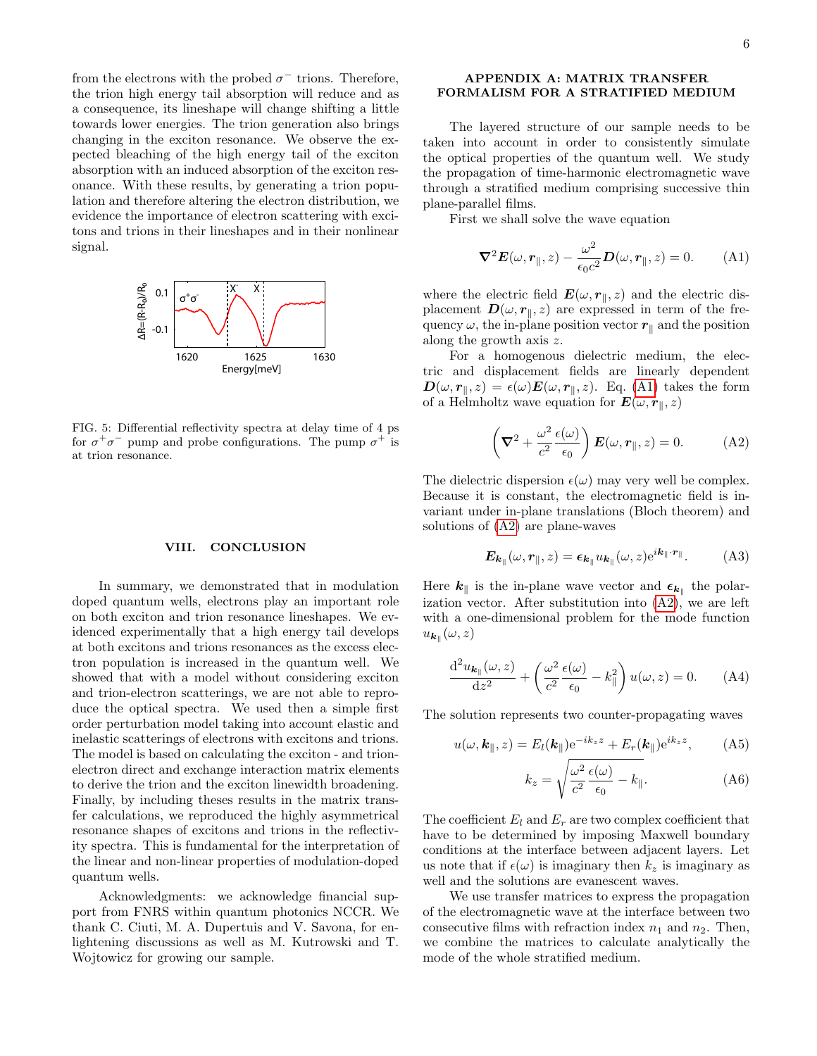from the electrons with the probed  $\sigma^-$  trions. Therefore, the trion high energy tail absorption will reduce and as a consequence, its lineshape will change shifting a little towards lower energies. The trion generation also brings changing in the exciton resonance. We observe the expected bleaching of the high energy tail of the exciton absorption with an induced absorption of the exciton resonance. With these results, by generating a trion population and therefore altering the electron distribution, we evidence the importance of electron scattering with excitons and trions in their lineshapes and in their nonlinear signal.



<span id="page-5-1"></span>FIG. 5: Differential reflectivity spectra at delay time of 4 ps for  $\sigma^+\sigma^-$  pump and probe configurations. The pump  $\sigma^+$  is at trion resonance.

### <span id="page-5-0"></span>VIII. CONCLUSION

In summary, we demonstrated that in modulation doped quantum wells, electrons play an important role on both exciton and trion resonance lineshapes. We evidenced experimentally that a high energy tail develops at both excitons and trions resonances as the excess electron population is increased in the quantum well. We showed that with a model without considering exciton and trion-electron scatterings, we are not able to reproduce the optical spectra. We used then a simple first order perturbation model taking into account elastic and inelastic scatterings of electrons with excitons and trions. The model is based on calculating the exciton - and trionelectron direct and exchange interaction matrix elements to derive the trion and the exciton linewidth broadening. Finally, by including theses results in the matrix transfer calculations, we reproduced the highly asymmetrical resonance shapes of excitons and trions in the reflectivity spectra. This is fundamental for the interpretation of the linear and non-linear properties of modulation-doped quantum wells.

Acknowledgments: we acknowledge financial support from FNRS within quantum photonics NCCR. We thank C. Ciuti, M. A. Dupertuis and V. Savona, for enlightening discussions as well as M. Kutrowski and T. Wojtowicz for growing our sample.

## APPENDIX A: MATRIX TRANSFER FORMALISM FOR A STRATIFIED MEDIUM

The layered structure of our sample needs to be taken into account in order to consistently simulate the optical properties of the quantum well. We study the propagation of time-harmonic electromagnetic wave through a stratified medium comprising successive thin plane-parallel films.

First we shall solve the wave equation

<span id="page-5-2"></span>
$$
\nabla^2 \boldsymbol{E}(\omega, \boldsymbol{r}_{\parallel}, z) - \frac{\omega^2}{\epsilon_0 c^2} \boldsymbol{D}(\omega, \boldsymbol{r}_{\parallel}, z) = 0.
$$
 (A1)

where the electric field  $\mathbf{E}(\omega, r_{\parallel}, z)$  and the electric displacement  $\mathbf{D}(\omega, r_{\parallel}, z)$  are expressed in term of the frequency  $\omega$ , the in-plane position vector  $r_{\parallel}$  and the position along the growth axis z.

For a homogenous dielectric medium, the electric and displacement fields are linearly dependent  $\mathbf{D}(\omega, \mathbf{r}_{\parallel}, z) = \epsilon(\omega)\mathbf{E}(\omega, \mathbf{r}_{\parallel}, z)$ . Eq. [\(A1\)](#page-5-2) takes the form of a Helmholtz wave equation for  $\mathbf{E}(\omega, r_{\parallel}, z)$ 

<span id="page-5-3"></span>
$$
\left(\nabla^2 + \frac{\omega^2}{c^2} \frac{\epsilon(\omega)}{\epsilon_0}\right) \boldsymbol{E}(\omega, \boldsymbol{r}_{\parallel}, z) = 0. \tag{A2}
$$

The dielectric dispersion  $\epsilon(\omega)$  may very well be complex. Because it is constant, the electromagnetic field is invariant under in-plane translations (Bloch theorem) and solutions of [\(A2\)](#page-5-3) are plane-waves

$$
\boldsymbol{E}_{\boldsymbol{k}_{\parallel}}(\omega,\boldsymbol{r}_{\parallel},z)=\boldsymbol{\epsilon}_{\boldsymbol{k}_{\parallel}}u_{\boldsymbol{k}_{\parallel}}(\omega,z)e^{i\boldsymbol{k}_{\parallel}\cdot\boldsymbol{r}_{\parallel}}.\tag{A3}
$$

Here  $k_{\parallel}$  is the in-plane wave vector and  $\epsilon_{k_{\parallel}}$  the polarization vector. After substitution into [\(A2\)](#page-5-3), we are left with a one-dimensional problem for the mode function  $u_{\boldsymbol{k}_{\parallel}}(\omega, z)$ 

<span id="page-5-4"></span>
$$
\frac{\mathrm{d}^2 u_{\mathbf{k}_{\parallel}}(\omega, z)}{\mathrm{d}z^2} + \left(\frac{\omega^2}{c^2} \frac{\epsilon(\omega)}{\epsilon_0} - k_{\parallel}^2\right) u(\omega, z) = 0. \tag{A4}
$$

The solution represents two counter-propagating waves

$$
u(\omega, \mathbf{k}_{\parallel}, z) = E_l(\mathbf{k}_{\parallel}) e^{-ik_z z} + E_r(\mathbf{k}_{\parallel}) e^{ik_z z}, \quad (A5)
$$

<span id="page-5-5"></span>
$$
k_z = \sqrt{\frac{\omega^2}{c^2} \frac{\epsilon(\omega)}{\epsilon_0} - k_{\parallel}}.\tag{A6}
$$

The coefficient  $E_l$  and  $E_r$  are two complex coefficient that have to be determined by imposing Maxwell boundary conditions at the interface between adjacent layers. Let us note that if  $\epsilon(\omega)$  is imaginary then  $k_z$  is imaginary as well and the solutions are evanescent waves.

We use transfer matrices to express the propagation of the electromagnetic wave at the interface between two consecutive films with refraction index  $n_1$  and  $n_2$ . Then, we combine the matrices to calculate analytically the mode of the whole stratified medium.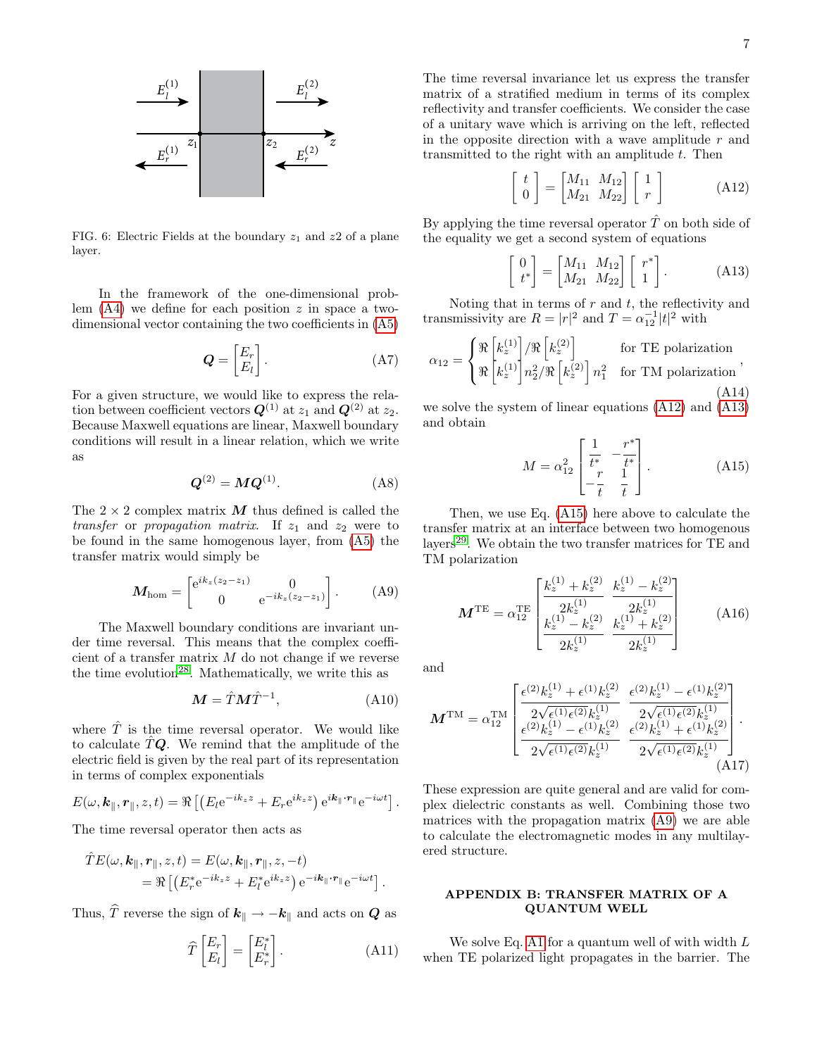

FIG. 6: Electric Fields at the boundary  $z_1$  and  $z_2$  of a plane layer.

In the framework of the one-dimensional problem  $(A4)$  we define for each position z in space a twodimensional vector containing the two coefficients in [\(A5\)](#page-5-5)

$$
\mathbf{Q} = \begin{bmatrix} E_r \\ E_l \end{bmatrix} . \tag{A7}
$$

For a given structure, we would like to express the relation between coefficient vectors  $Q^{(1)}$  at  $z_1$  and  $Q^{(2)}$  at  $z_2$ . Because Maxwell equations are linear, Maxwell boundary conditions will result in a linear relation, which we write as

$$
Q^{(2)} = MQ^{(1)}.
$$
 (A8)

The  $2 \times 2$  complex matrix M thus defined is called the transfer or propagation matrix. If  $z_1$  and  $z_2$  were to be found in the same homogenous layer, from [\(A5\)](#page-5-5) the transfer matrix would simply be

<span id="page-6-3"></span>
$$
M_{\text{hom}} = \begin{bmatrix} e^{ik_z(z_2 - z_1)} & 0\\ 0 & e^{-ik_z(z_2 - z_1)} \end{bmatrix} .
$$
 (A9)

The Maxwell boundary conditions are invariant under time reversal. This means that the complex coefficient of a transfer matrix  $M$  do not change if we reverse the time evolution<sup>[28](#page-8-30)</sup>. Mathematically, we write this as

<span id="page-6-4"></span>
$$
\mathbf{M} = \hat{T}\mathbf{M}\hat{T}^{-1},\tag{A10}
$$

where  $\hat{T}$  is the time reversal operator. We would like to calculate  $T\mathbf{Q}$ . We remind that the amplitude of the electric field is given by the real part of its representation in terms of complex exponentials

$$
E(\omega, \mathbf{k}_{\parallel}, \mathbf{r}_{\parallel}, z, t) = \Re \left[ \left( E_l e^{-ik_z z} + E_r e^{ik_z z} \right) e^{i\mathbf{k}_{\parallel} \cdot \mathbf{r}_{\parallel}} e^{-i\omega t} \right].
$$

The time reversal operator then acts as

$$
\hat{T}E(\omega, \mathbf{k}_{\parallel}, \mathbf{r}_{\parallel}, z, t) = E(\omega, \mathbf{k}_{\parallel}, \mathbf{r}_{\parallel}, z, -t) \n= \Re \left[ \left( E_r^* e^{-ik_z z} + E_l^* e^{ik_z z} \right) e^{-ik_{\parallel} \cdot \mathbf{r}_{\parallel}} e^{-i\omega t} \right].
$$

Thus,  $\widehat{T}$  reverse the sign of  $k_{\parallel} \rightarrow -k_{\parallel}$  and acts on  $Q$  as

$$
\widehat{T}\begin{bmatrix} E_r \\ E_l \end{bmatrix} = \begin{bmatrix} E_l^* \\ E_r^* \end{bmatrix} . \tag{A11}
$$

The time reversal invariance let us express the transfer matrix of a stratified medium in terms of its complex reflectivity and transfer coefficients. We consider the case of a unitary wave which is arriving on the left, reflected in the opposite direction with a wave amplitude  $r$  and transmitted to the right with an amplitude  $t$ . Then

<span id="page-6-0"></span>
$$
\begin{bmatrix} t \\ 0 \end{bmatrix} = \begin{bmatrix} M_{11} & M_{12} \\ M_{21} & M_{22} \end{bmatrix} \begin{bmatrix} 1 \\ r \end{bmatrix}
$$
 (A12)

By applying the time reversal operator  $\hat{T}$  on both side of the equality we get a second system of equations

<span id="page-6-1"></span>
$$
\begin{bmatrix} 0 \\ t^* \end{bmatrix} = \begin{bmatrix} M_{11} & M_{12} \\ M_{21} & M_{22} \end{bmatrix} \begin{bmatrix} r^* \\ 1 \end{bmatrix}.
$$
 (A13)

Noting that in terms of  $r$  and  $t$ , the reflectivity and transmissivity are  $R = |r|^2$  and  $T = \alpha_{12}^{-1} |t|^2$  with

$$
\alpha_{12} = \begin{cases} \Re\left[k_z^{(1)}\right] / \Re\left[k_z^{(2)}\right] & \text{for TE polarization} \\ \Re\left[k_z^{(1)}\right] n_2^2 / \Re\left[k_z^{(2)}\right] n_1^2 & \text{for TM polarization} \end{cases},\tag{A14}
$$

we solve the system of linear equations  $(A12)$  and  $(A13)$ and obtain

<span id="page-6-2"></span>
$$
M = \alpha_{12}^2 \begin{bmatrix} \frac{1}{t^*} & -\frac{r^*}{t^*} \\ -\frac{r}{t} & \frac{1}{t} \end{bmatrix} .
$$
 (A15)

Then, we use Eq. [\(A15\)](#page-6-2) here above to calculate the transfer matrix at an interface between two homogenous layers<sup>[29](#page-8-31)</sup>. We obtain the two transfer matrices for  $TE$  and TM polarization

$$
\boldsymbol{M}^{\text{TE}} = \alpha_{12}^{\text{TE}} \begin{bmatrix} \frac{k_z^{(1)} + k_z^{(2)}}{2k_z^{(1)}} & \frac{k_z^{(1)} - k_z^{(2)}}{2k_z^{(1)}}\\ \frac{k_z^{(1)} - k_z^{(2)}}{2k_z^{(1)}} & \frac{k_z^{(1)} + k_z^{(2)}}{2k_z^{(1)}} \end{bmatrix} \tag{A16}
$$

and

$$
\mathbf{M}^{\text{TM}} = \alpha_{12}^{\text{TM}} \begin{bmatrix} \frac{\epsilon^{(2)} k_z^{(1)} + \epsilon^{(1)} k_z^{(2)}}{2\sqrt{\epsilon^{(1)} \epsilon^{(2)}} k_z^{(1)}} & \frac{\epsilon^{(2)} k_z^{(1)} - \epsilon^{(1)} k_z^{(2)}}{2\sqrt{\epsilon^{(1)} \epsilon^{(2)}} k_z^{(1)}}\\ \frac{\epsilon^{(2)} k_z^{(1)} - \epsilon^{(1)} k_z^{(2)}}{2\sqrt{\epsilon^{(1)} \epsilon^{(2)}} k_z^{(1)}} & \frac{\epsilon^{(2)} k_z^{(1)} + \epsilon^{(1)} k_z^{(2)}}{2\sqrt{\epsilon^{(1)} \epsilon^{(2)}} k_z^{(1)}} \end{bmatrix} . \tag{A17}
$$

These expression are quite general and are valid for complex dielectric constants as well. Combining those two matrices with the propagation matrix [\(A9\)](#page-6-3) we are able to calculate the electromagnetic modes in any multilayered structure.

## APPENDIX B: TRANSFER MATRIX OF A QUANTUM WELL

We solve Eq. [A1](#page-5-2) for a quantum well of with width  $L$ when TE polarized light propagates in the barrier. The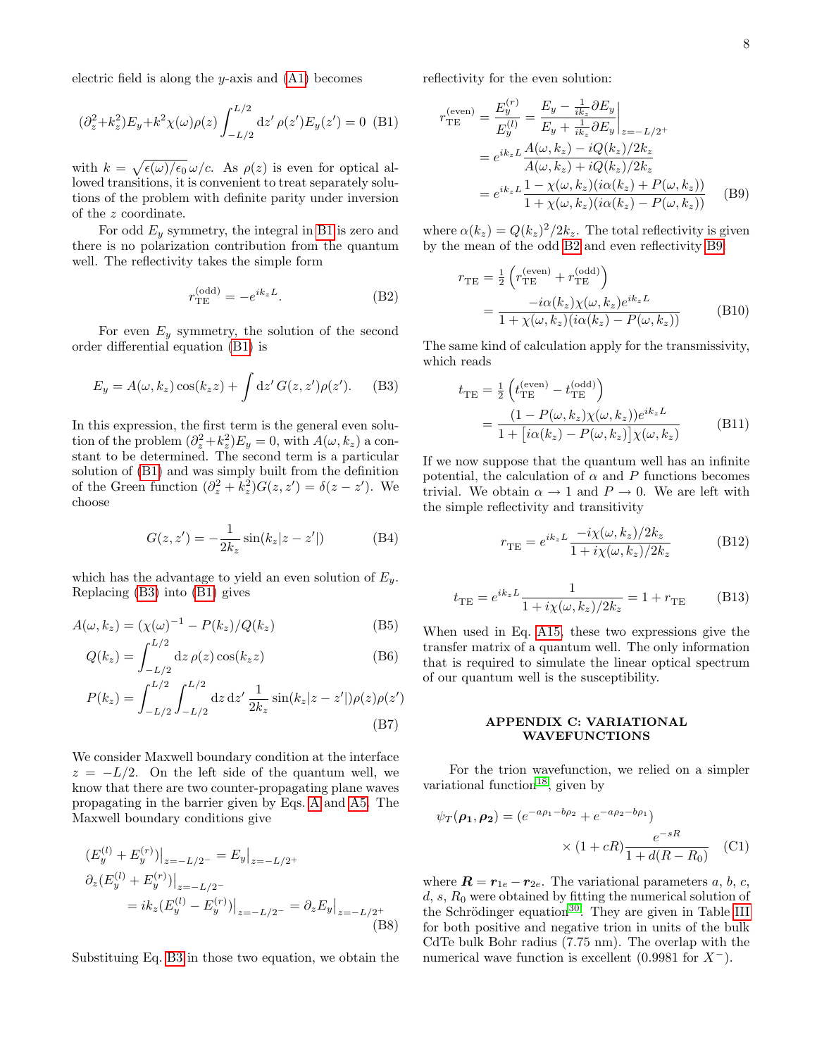electric field is along the y-axis and  $(A1)$  becomes

<span id="page-7-1"></span>
$$
(\partial_z^2 + k_z^2) E_y + k^2 \chi(\omega) \rho(z) \int_{-L/2}^{L/2} dz' \rho(z') E_y(z') = 0
$$
 (B1)

with  $k = \sqrt{\epsilon(\omega)/\epsilon_0} \omega/c$ . As  $\rho(z)$  is even for optical allowed transitions, it is convenient to treat separately solutions of the problem with definite parity under inversion of the z coordinate.

For odd  $E_y$  symmetry, the integral in [B1](#page-7-1) is zero and there is no polarization contribution from the quantum well. The reflectivity takes the simple form

<span id="page-7-3"></span>
$$
r_{\rm TE}^{\rm (odd)} = -e^{ik_z L}.
$$
 (B2)

For even  $E_y$  symmetry, the solution of the second order differential equation [\(B1\)](#page-7-1) is

<span id="page-7-2"></span>
$$
E_y = A(\omega, k_z) \cos(k_z z) + \int dz' G(z, z') \rho(z'). \quad (B3)
$$

In this expression, the first term is the general even solution of the problem  $(\partial_z^2 + k_z^2)E_y = 0$ , with  $A(\omega, k_z)$  a constant to be determined. The second term is a particular solution of [\(B1\)](#page-7-1) and was simply built from the definition of the Green function  $\left(\partial_z^2 + k_z^2\right)G(z, z') = \delta(z - z')$ . We choose

$$
G(z, z') = -\frac{1}{2k_z} \sin(k_z |z - z'|)
$$
 (B4)

which has the advantage to yield an even solution of  $E_y$ . Replacing [\(B3\)](#page-7-2) into [\(B1\)](#page-7-1) gives

$$
A(\omega, k_z) = (\chi(\omega)^{-1} - P(k_z)/Q(k_z)
$$
 (B5)

$$
Q(k_z) = \int_{-L/2}^{L/2} dz \,\rho(z) \cos(k_z z) \tag{B6}
$$

$$
P(k_z) = \int_{-L/2}^{L/2} \int_{-L/2}^{L/2} dz \, dz' \, \frac{1}{2k_z} \sin(k_z |z - z'|) \rho(z) \rho(z')
$$
\n(B7)

We consider Maxwell boundary condition at the interface  $z = -L/2$ . On the left side of the quantum well, we know that there are two counter-propagating plane waves propagating in the barrier given by Eqs. [A](#page-6-4) and [A5.](#page-5-5) The Maxwell boundary conditions give

$$
(E_y^{(l)} + E_y^{(r)})|_{z=-L/2^-} = E_y|_{z=-L/2^+}
$$
  
\n
$$
\partial_z (E_y^{(l)} + E_y^{(r)})|_{z=-L/2^-} = i k_z (E_y^{(l)} - E_y^{(r)})|_{z=-L/2^-} = \partial_z E_y|_{z=-L/2^+}
$$
  
\n(B8)

Substituing Eq. [B3](#page-7-2) in those two equation, we obtain the

reflectivity for the even solution:

$$
r_{\rm TE}^{\text{(even)}} = \frac{E_y^{(r)}}{E_y^{(l)}} = \frac{E_y - \frac{1}{ik_z} \partial E_y}{E_y + \frac{1}{ik_z} \partial E_y} \Big|_{z=-L/2^+}
$$
  
=  $e^{ik_z L} \frac{A(\omega, k_z) - iQ(k_z)/2k_z}{A(\omega, k_z) + iQ(k_z)/2k_z}$   
=  $e^{ik_z L} \frac{1 - \chi(\omega, k_z)(i\alpha(k_z) + P(\omega, k_z))}{1 + \chi(\omega, k_z)(i\alpha(k_z) - P(\omega, k_z))}$  (B9)

where  $\alpha(k_z) = Q(k_z)^2/2k_z$ . The total reflectivity is given by the mean of the odd [B2](#page-7-3) and even reflectivity [B9:](#page-7-4)

<span id="page-7-4"></span>
$$
r_{\rm TE} = \frac{1}{2} \left( r_{\rm TE}^{\text{(even)}} + r_{\rm TE}^{\text{(odd)}} \right)
$$
  
= 
$$
\frac{-i\alpha(k_z)\chi(\omega, k_z)e^{ik_zL}}{1 + \chi(\omega, k_z)(i\alpha(k_z) - P(\omega, k_z))}
$$
(B10)

The same kind of calculation apply for the transmissivity, which reads

$$
t_{\rm TE} = \frac{1}{2} \left( t_{\rm TE}^{\text{(even)}} - t_{\rm TE}^{\text{(odd)}} \right)
$$
  
= 
$$
\frac{(1 - P(\omega, k_z) \chi(\omega, k_z)) e^{ik_z L}}{1 + \left[ i\alpha(k_z) - P(\omega, k_z) \right] \chi(\omega, k_z)}
$$
(B11)

If we now suppose that the quantum well has an infinite potential, the calculation of  $\alpha$  and P functions becomes trivial. We obtain  $\alpha \to 1$  and  $P \to 0$ . We are left with the simple reflectivity and transitivity

$$
r_{\rm TE} = e^{ik_z L} \frac{-i\chi(\omega, k_z)/2k_z}{1 + i\chi(\omega, k_z)/2k_z}
$$
(B12)

$$
t_{\rm TE} = e^{ik_z L} \frac{1}{1 + i\chi(\omega, k_z)/2k_z} = 1 + r_{\rm TE}
$$
 (B13)

When used in Eq. [A15,](#page-6-2) these two expressions give the transfer matrix of a quantum well. The only information that is required to simulate the linear optical spectrum of our quantum well is the susceptibility.

### <span id="page-7-0"></span>APPENDIX C: VARIATIONAL WAVEFUNCTIONS

For the trion wavefunction, we relied on a simpler variational function<sup>[18](#page-8-17)</sup>, given by

$$
\psi_T(\rho_1, \rho_2) = (e^{-a\rho_1 - b\rho_2} + e^{-a\rho_2 - b\rho_1})
$$

$$
\times (1 + cR) \frac{e^{-sR}}{1 + d(R - R_0)}
$$
(C1)

where  $\mathbf{R} = \mathbf{r}_{1e} - \mathbf{r}_{2e}$ . The variational parameters a, b, c,  $d, s, R_0$  were obtained by fitting the numerical solution of the Schrödinger equation<sup>[30](#page-8-32)</sup>. They are given in Table [III](#page-8-33) for both positive and negative trion in units of the bulk CdTe bulk Bohr radius (7.75 nm). The overlap with the numerical wave function is excellent  $(0.9981$  for  $X^-$ ).